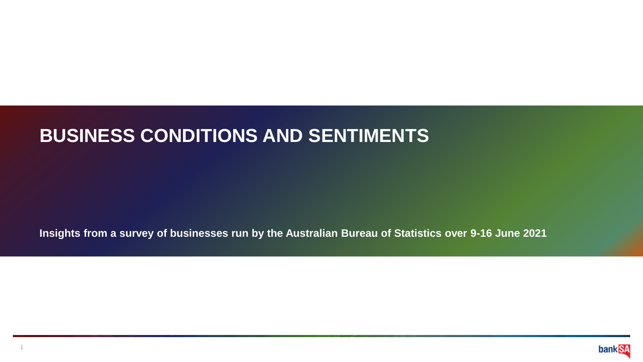## **BUSINESS CONDITIONS AND SENTIMENTS**

**Insights from a survey of businesses run by the Australian Bureau of Statistics over 9-16 June 2021**

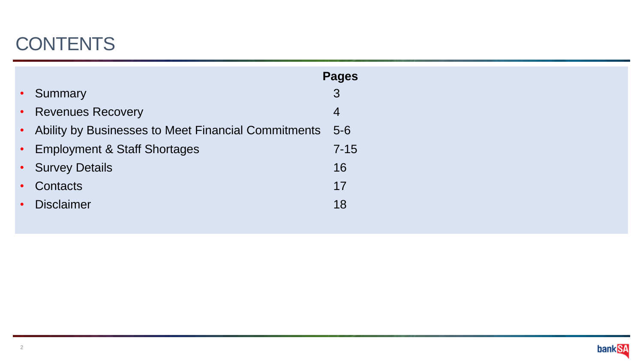# **CONTENTS**

|           |                                                       | <b>Pages</b> |
|-----------|-------------------------------------------------------|--------------|
|           | • Summary                                             | 3            |
|           | • Revenues Recovery                                   | 4            |
|           | • Ability by Businesses to Meet Financial Commitments | $5 - 6$      |
|           | • Employment & Staff Shortages                        | $7 - 15$     |
|           | • Survey Details                                      | 16           |
| $\bullet$ | Contacts                                              | 17           |
| $\bullet$ | <b>Disclaimer</b>                                     | 18           |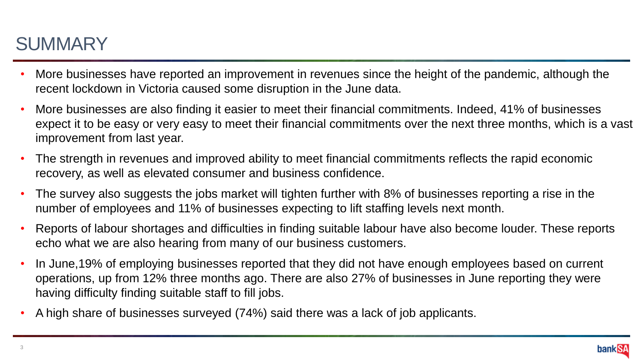# **SUMMARY**

- More businesses have reported an improvement in revenues since the height of the pandemic, although the recent lockdown in Victoria caused some disruption in the June data.
- More businesses are also finding it easier to meet their financial commitments. Indeed, 41% of businesses expect it to be easy or very easy to meet their financial commitments over the next three months, which is a vast improvement from last year.
- The strength in revenues and improved ability to meet financial commitments reflects the rapid economic recovery, as well as elevated consumer and business confidence.
- The survey also suggests the jobs market will tighten further with 8% of businesses reporting a rise in the number of employees and 11% of businesses expecting to lift staffing levels next month.
- Reports of labour shortages and difficulties in finding suitable labour have also become louder. These reports echo what we are also hearing from many of our business customers.
- In June,19% of employing businesses reported that they did not have enough employees based on current operations, up from 12% three months ago. There are also 27% of businesses in June reporting they were having difficulty finding suitable staff to fill jobs.
- A high share of businesses surveyed (74%) said there was a lack of job applicants.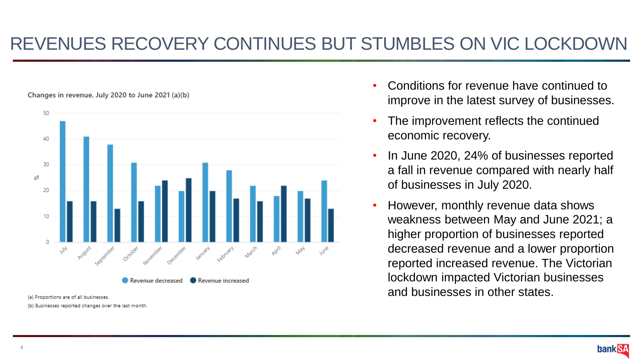#### REVENUES RECOVERY CONTINUES BUT STUMBLES ON VIC LOCKDOWN





(a) Proportions are of all businesses.

(b) Businesses reported changes over the last month.

- Conditions for revenue have continued to improve in the latest survey of businesses.
- The improvement reflects the continued economic recovery.
- In June 2020, 24% of businesses reported a fall in revenue compared with nearly half of businesses in July 2020.
- However, monthly revenue data shows weakness between May and June 2021; a higher proportion of businesses reported decreased revenue and a lower proportion reported increased revenue. The Victorian lockdown impacted Victorian businesses and businesses in other states.

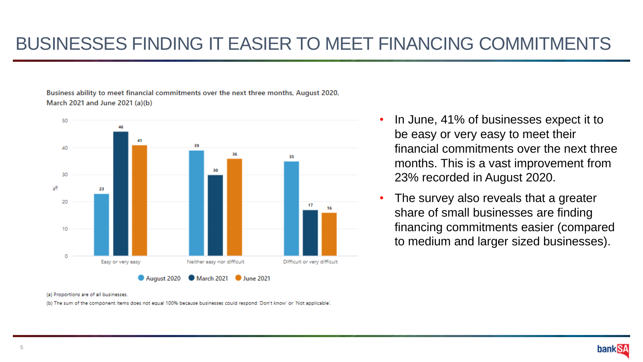Business ability to meet financial commitments over the next three months, August 2020, March 2021 and June 2021 (a)(b)



- In June, 41% of businesses expect it to be easy or very easy to meet their financial commitments over the next three months. This is a vast improvement from 23% recorded in August 2020.
- The survey also reveals that a greater share of small businesses are finding financing commitments easier (compared to medium and larger sized businesses).

(a) Proportions are of all businesses

(b) The sum of the component items does not equal 100% because businesses could respond 'Don't know' or 'Not applicable'.

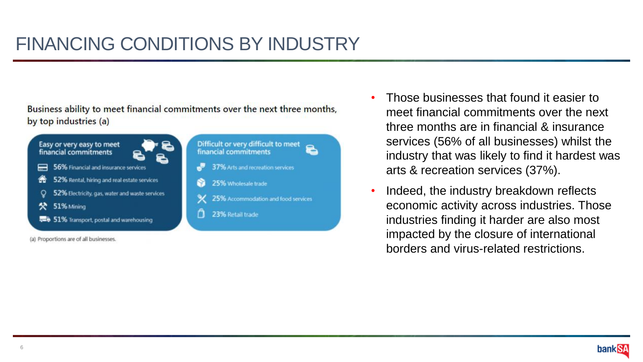Business ability to meet financial commitments over the next three months. by top industries (a)



- Those businesses that found it easier to meet financial commitments over the next three months are in financial & insurance services (56% of all businesses) whilst the industry that was likely to find it hardest was arts & recreation services (37%).
- Indeed, the industry breakdown reflects economic activity across industries. Those industries finding it harder are also most impacted by the closure of international borders and virus-related restrictions.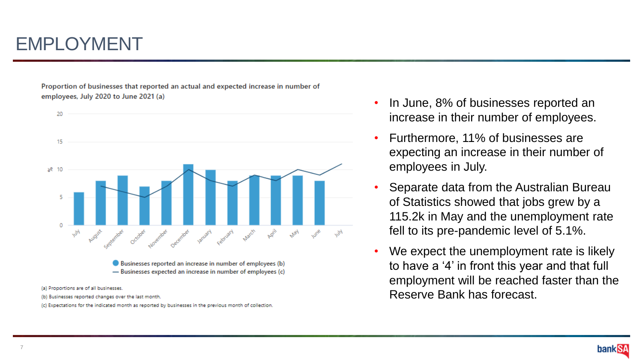## EMPLOYMENT

Proportion of businesses that reported an actual and expected increase in number of employees, July 2020 to June 2021 (a)



- (b) Businesses reported changes over the last month.
- (c) Expectations for the indicated month as reported by businesses in the previous month of collection
- In June, 8% of businesses reported an increase in their number of employees.
- Furthermore, 11% of businesses are expecting an increase in their number of employees in July.
- Separate data from the Australian Bureau of Statistics showed that jobs grew by a 115.2k in May and the unemployment rate fell to its pre-pandemic level of 5.1%.
- We expect the unemployment rate is likely to have a '4' in front this year and that full employment will be reached faster than the Reserve Bank has forecast.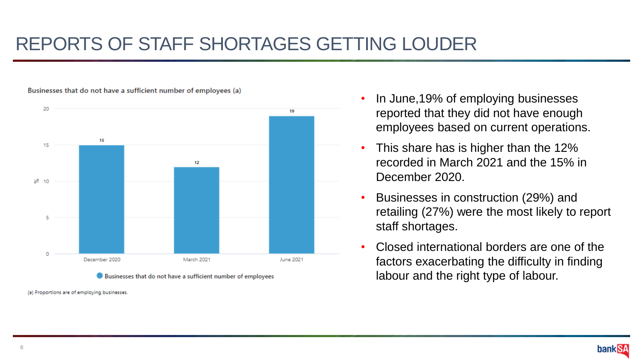## REPORTS OF STAFF SHORTAGES GETTING LOUDER



Businesses that do not have a sufficient number of employees (a)

Businesses that do not have a sufficient number of employees

(a) Proportions are of employing businesses.

- In June,19% of employing businesses reported that they did not have enough employees based on current operations.
- This share has is higher than the 12% recorded in March 2021 and the 15% in December 2020.
- Businesses in construction (29%) and retailing (27%) were the most likely to report staff shortages.
- Closed international borders are one of the factors exacerbating the difficulty in finding labour and the right type of labour.

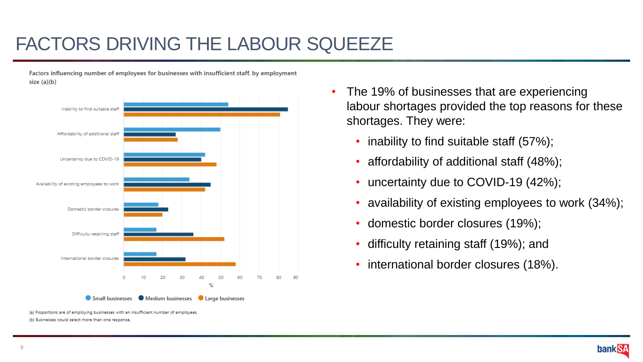### FACTORS DRIVING THE LABOUR SQUEEZE

Factors influencing number of employees for businesses with insufficient staff, by employment  $size(a)(b)$ 



(a) Proportions are of employing businesses with an insufficient number of employees. (b) Businesses could select more than one response

- The 19% of businesses that are experiencing labour shortages provided the top reasons for these shortages. They were:
	- inability to find suitable staff (57%);
	- affordability of additional staff (48%);
	- uncertainty due to COVID-19 (42%);
	- availability of existing employees to work (34%);
	- domestic border closures (19%);
	- difficulty retaining staff (19%); and
	- international border closures (18%).

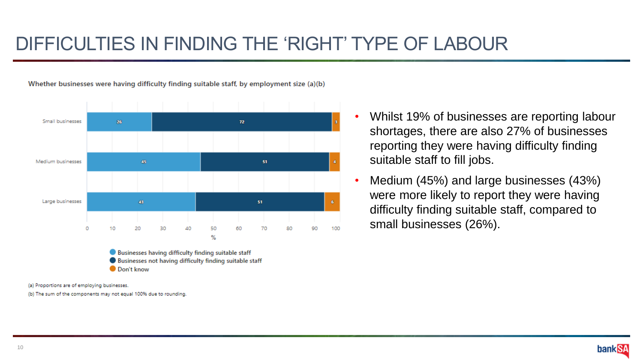#### DIFFICULTIES IN FINDING THE 'RIGHT' TYPE OF LABOUR

Whether businesses were having difficulty finding suitable staff, by employment size (a)(b)



(a) Proportions are of employing businesses.

(b) The sum of the components may not equal 100% due to rounding.

- Whilst 19% of businesses are reporting labour shortages, there are also 27% of businesses reporting they were having difficulty finding suitable staff to fill jobs.
- Medium (45%) and large businesses (43%) were more likely to report they were having difficulty finding suitable staff, compared to small businesses (26%).

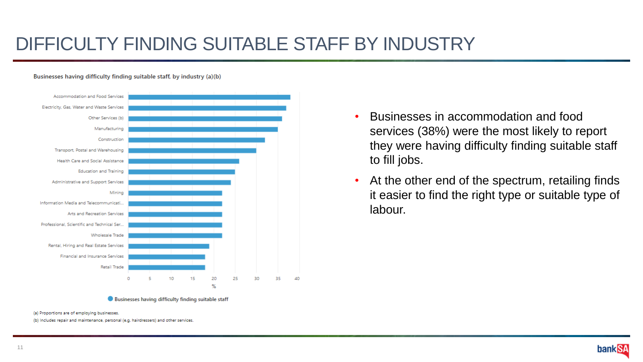### DIFFICULTY FINDING SUITABLE STAFF BY INDUSTRY

#### Businesses having difficulty finding suitable staff, by industry (a)(b)





- Businesses in accommodation and food services (38%) were the most likely to report they were having difficulty finding suitable staff to fill jobs.
- At the other end of the spectrum, retailing finds it easier to find the right type or suitable type of labour.

(a) Proportions are of employing businesses

(b) Includes repair and maintenance, personal (e.g. hairdressers) and other services.

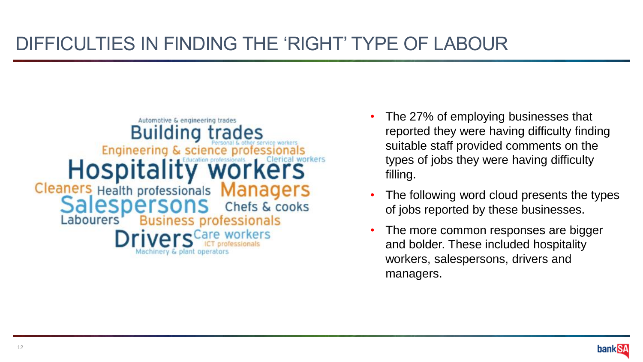#### DIFFICULTIES IN FINDING THE 'RIGHT' TYPE OF LABOUR



- The 27% of employing businesses that reported they were having difficulty finding suitable staff provided comments on the types of jobs they were having difficulty filling.
- The following word cloud presents the types of jobs reported by these businesses.
- The more common responses are bigger and bolder. These included hospitality workers, salespersons, drivers and managers.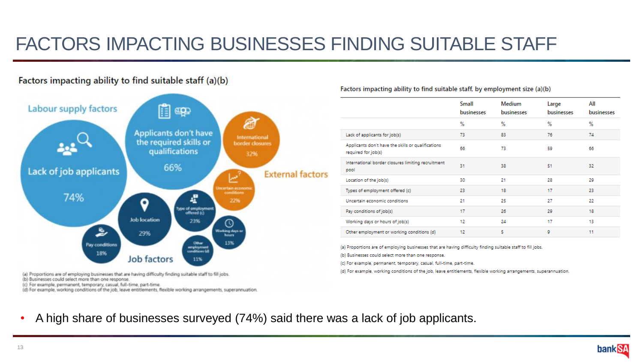#### FACTORS IMPACTING BUSINESSES FINDING SUITABLE STAFF

#### Factors impacting ability to find suitable staff (a)(b)



(b) Businesses could select more than one response.

(c) For example, permanent, temporary, casual, full-time, part-time.

(d) For example, working conditions of the job, leave entitlements, flexible working arrangements, superannuation.

#### Factors impacting ability to find suitable staff, by employment size (a)(b)

|                                                                           | Small<br>businesses | <b>Medium</b><br>businesses | Large<br>businesses | All<br>businesses |
|---------------------------------------------------------------------------|---------------------|-----------------------------|---------------------|-------------------|
|                                                                           | %                   | %                           | %                   | %                 |
| Lack of applicants for job(s)                                             | 73                  | 83                          | 76                  | 74                |
| Applicants don't have the skills or qualifications<br>required for job(s) | 66                  | 73                          | 59                  | 66                |
| International border closures limiting recruitment<br>pool                | 31                  | 38                          | 51                  | 32                |
| Location of the job(s)                                                    | 30                  | 21                          | 28                  | 29                |
| Types of employment offered (c)                                           | 23                  | 18                          | 17                  | 23                |
| Uncertain economic conditions                                             | 21                  | 25                          | 27                  | 22                |
| Pay conditions of job(s)                                                  | 17                  | 26                          | 29                  | 18                |
| Working days or hours of job(s)                                           | 12                  | 24                          | 17                  | 13                |
| Other employment or working conditions (d)                                | 12                  | 5                           | 9                   | 11                |

(a) Proportions are of employing businesses that are having difficulty finding suitable staff to fill jobs.

(b) Businesses could select more than one response.

(c) For example, permanent, temporary, casual, full-time, part-time.

(d) For example, working conditions of the job, leave entitlements, flexible working arrangements, superannuation.

• A high share of businesses surveyed (74%) said there was a lack of job applicants.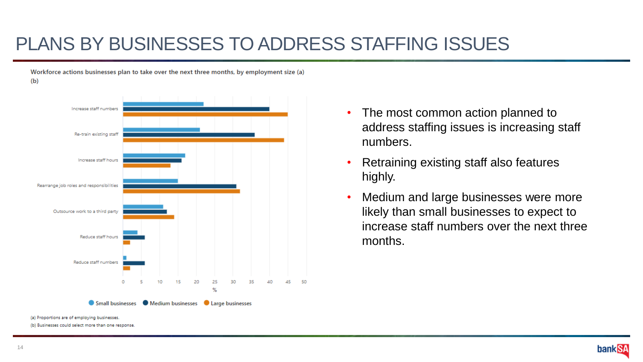#### PLANS BY BUSINESSES TO ADDRESS STAFFING ISSUES

Workforce actions businesses plan to take over the next three months, by employment size (a)

 $(b)$ 



- The most common action planned to address staffing issues is increasing staff numbers.
- Retraining existing staff also features highly.
- Medium and large businesses were more likely than small businesses to expect to increase staff numbers over the next three months.

(b) Businesses could select more than one response.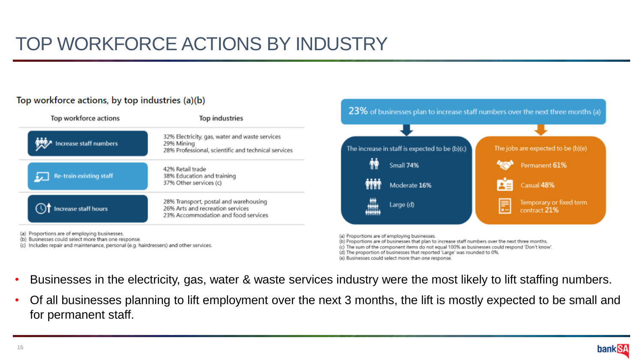# TOP WORKFORCE ACTIONS BY INDUSTRY

#### Top workforce actions, by top industries (a)(b)

| Top workforce actions   | <b>Top industries</b>                                                                                               |  |  |  |
|-------------------------|---------------------------------------------------------------------------------------------------------------------|--|--|--|
| Increase staff numbers  | 32% Electricity, gas, water and waste services<br>29% Mining<br>28% Professional, scientific and technical services |  |  |  |
| Re-train existing staff | 42% Retail trade<br>38% Education and training<br>37% Other services (c)                                            |  |  |  |
| Increase staff hours    | 28% Transport, postal and warehousing<br>26% Arts and recreation services<br>23% Accommodation and food services    |  |  |  |

(a) Proportions are of employing businesses.

(b) Businesses could select more than one response.

(c) Includes repair and maintenance, personal (e.g. hairdressers) and other services.



(a) Proportions are of employing businesses.

(b) Proportions are of businesses that plan to increase staff numbers over the next three months.

(c) The sum of the component items do not equal 100% as businesses could respond 'Don't know'.

(d) The proportion of businesses that reported 'Large' was rounded to 0%.

(e) Businesses could select more than one response.

- Businesses in the electricity, gas, water & waste services industry were the most likely to lift staffing numbers.
- Of all businesses planning to lift employment over the next 3 months, the lift is mostly expected to be small and for permanent staff.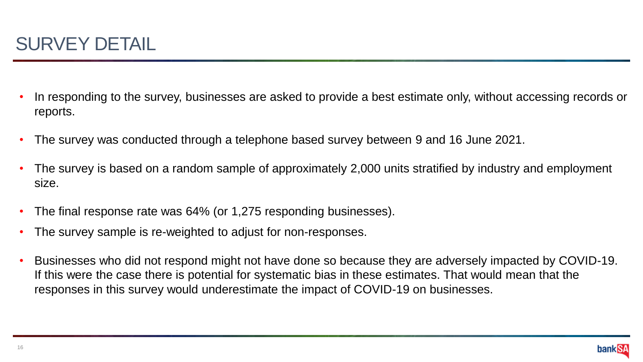

- In responding to the survey, businesses are asked to provide a best estimate only, without accessing records or reports.
- The survey was conducted through a telephone based survey between 9 and 16 June 2021.
- The survey is based on a random sample of approximately 2,000 units stratified by industry and employment size.
- The final response rate was 64% (or 1,275 responding businesses).
- The survey sample is re-weighted to adjust for non-responses.
- Businesses who did not respond might not have done so because they are adversely impacted by COVID-19. If this were the case there is potential for systematic bias in these estimates. That would mean that the responses in this survey would underestimate the impact of COVID-19 on businesses.

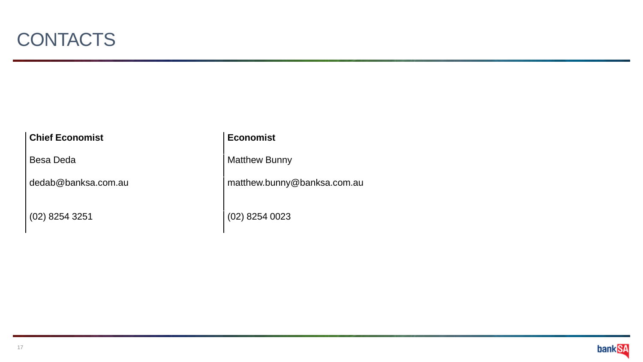

#### **Chief Economist Economist Economist**

(02) 8254 3251 (02) 8254 0023

Besa Deda Matthew Bunny

dedab@banksa.com.au matthew.bunny@banksa.com.au